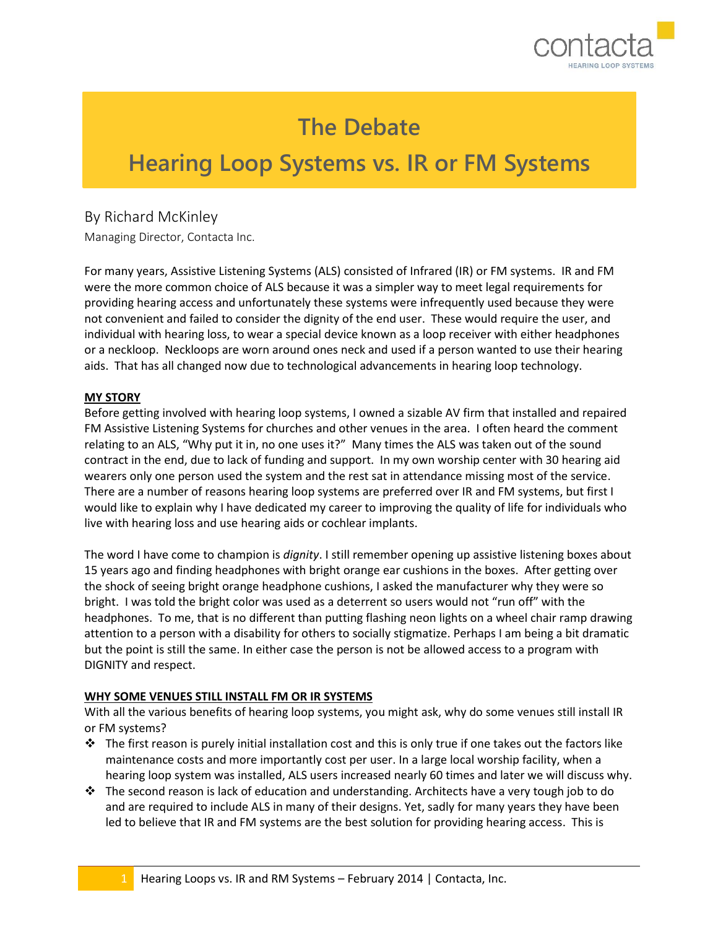

# **The Debate**

ī

# **Hearing Loop Systems vs. IR or FM Systems**

## By Richard McKinley

Managing Director, Contacta Inc.

For many years, Assistive Listening Systems (ALS) consisted of Infrared (IR) or FM systems. IR and FM were the more common choice of ALS because it was a simpler way to meet legal requirements for providing hearing access and unfortunately these systems were infrequently used because they were not convenient and failed to consider the dignity of the end user. These would require the user, and individual with hearing loss, to wear a special device known as a loop receiver with either headphones or a neckloop. Neckloops are worn around ones neck and used if a person wanted to use their hearing aids. That has all changed now due to technological advancements in hearing loop technology.

#### **MY STORY**

Before getting involved with hearing loop systems, I owned a sizable AV firm that installed and repaired FM Assistive Listening Systems for churches and other venues in the area. I often heard the comment relating to an ALS, "Why put it in, no one uses it?" Many times the ALS was taken out of the sound contract in the end, due to lack of funding and support. In my own worship center with 30 hearing aid wearers only one person used the system and the rest sat in attendance missing most of the service. There are a number of reasons hearing loop systems are preferred over IR and FM systems, but first I would like to explain why I have dedicated my career to improving the quality of life for individuals who live with hearing loss and use hearing aids or cochlear implants.

The word I have come to champion is *dignity*. I still remember opening up assistive listening boxes about 15 years ago and finding headphones with bright orange ear cushions in the boxes. After getting over the shock of seeing bright orange headphone cushions, I asked the manufacturer why they were so bright. I was told the bright color was used as a deterrent so users would not "run off" with the headphones. To me, that is no different than putting flashing neon lights on a wheel chair ramp drawing attention to a person with a disability for others to socially stigmatize. Perhaps I am being a bit dramatic but the point is still the same. In either case the person is not be allowed access to a program with DIGNITY and respect.

#### **WHY SOME VENUES STILL INSTALL FM OR IR SYSTEMS**

With all the various benefits of hearing loop systems, you might ask, why do some venues still install IR or FM systems?

- $\cdot \cdot$  The first reason is purely initial installation cost and this is only true if one takes out the factors like maintenance costs and more importantly cost per user. In a large local worship facility, when a hearing loop system was installed, ALS users increased nearly 60 times and later we will discuss why.
- $\cdot \cdot$  The second reason is lack of education and understanding. Architects have a very tough job to do and are required to include ALS in many of their designs. Yet, sadly for many years they have been led to believe that IR and FM systems are the best solution for providing hearing access. This is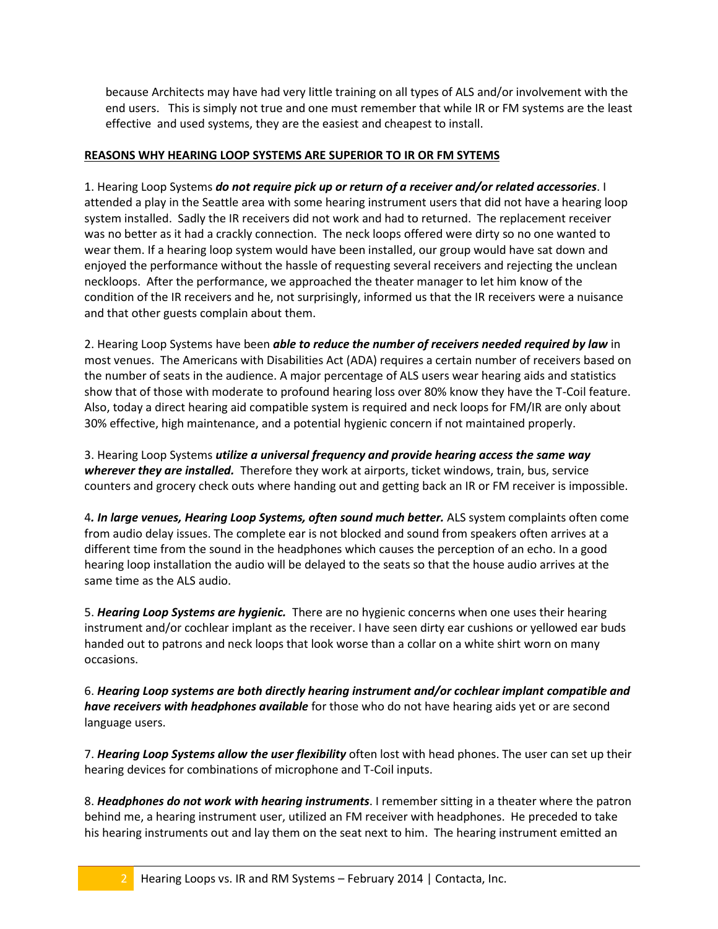because Architects may have had very little training on all types of ALS and/or involvement with the end users. This is simply not true and one must remember that while IR or FM systems are the least effective and used systems, they are the easiest and cheapest to install.

### **REASONS WHY HEARING LOOP SYSTEMS ARE SUPERIOR TO IR OR FM SYTEMS**

1. Hearing Loop Systems *do not require pick up or return of a receiver and/or related accessories*. I attended a play in the Seattle area with some hearing instrument users that did not have a hearing loop system installed. Sadly the IR receivers did not work and had to returned. The replacement receiver was no better as it had a crackly connection. The neck loops offered were dirty so no one wanted to wear them. If a hearing loop system would have been installed, our group would have sat down and enjoyed the performance without the hassle of requesting several receivers and rejecting the unclean neckloops. After the performance, we approached the theater manager to let him know of the condition of the IR receivers and he, not surprisingly, informed us that the IR receivers were a nuisance and that other guests complain about them.

2. Hearing Loop Systems have been *able to reduce the number of receivers needed required by law* in most venues. The Americans with Disabilities Act (ADA) requires a certain number of receivers based on the number of seats in the audience. A major percentage of ALS users wear hearing aids and statistics show that of those with moderate to profound hearing loss over 80% know they have the T-Coil feature. Also, today a direct hearing aid compatible system is required and neck loops for FM/IR are only about 30% effective, high maintenance, and a potential hygienic concern if not maintained properly.

3. Hearing Loop Systems *utilize a universal frequency and provide hearing access the same way wherever they are installed.* Therefore they work at airports, ticket windows, train, bus, service counters and grocery check outs where handing out and getting back an IR or FM receiver is impossible.

4*. In large venues, Hearing Loop Systems, often sound much better.* ALS system complaints often come from audio delay issues. The complete ear is not blocked and sound from speakers often arrives at a different time from the sound in the headphones which causes the perception of an echo. In a good hearing loop installation the audio will be delayed to the seats so that the house audio arrives at the same time as the ALS audio.

5. *Hearing Loop Systems are hygienic.* There are no hygienic concerns when one uses their hearing instrument and/or cochlear implant as the receiver. I have seen dirty ear cushions or yellowed ear buds handed out to patrons and neck loops that look worse than a collar on a white shirt worn on many occasions.

6. *Hearing Loop systems are both directly hearing instrument and/or cochlear implant compatible and have receivers with headphones available* for those who do not have hearing aids yet or are second language users.

7. *Hearing Loop Systems allow the user flexibility* often lost with head phones. The user can set up their hearing devices for combinations of microphone and T-Coil inputs.

8. *Headphones do not work with hearing instruments*. I remember sitting in a theater where the patron behind me, a hearing instrument user, utilized an FM receiver with headphones. He preceded to take his hearing instruments out and lay them on the seat next to him. The hearing instrument emitted an